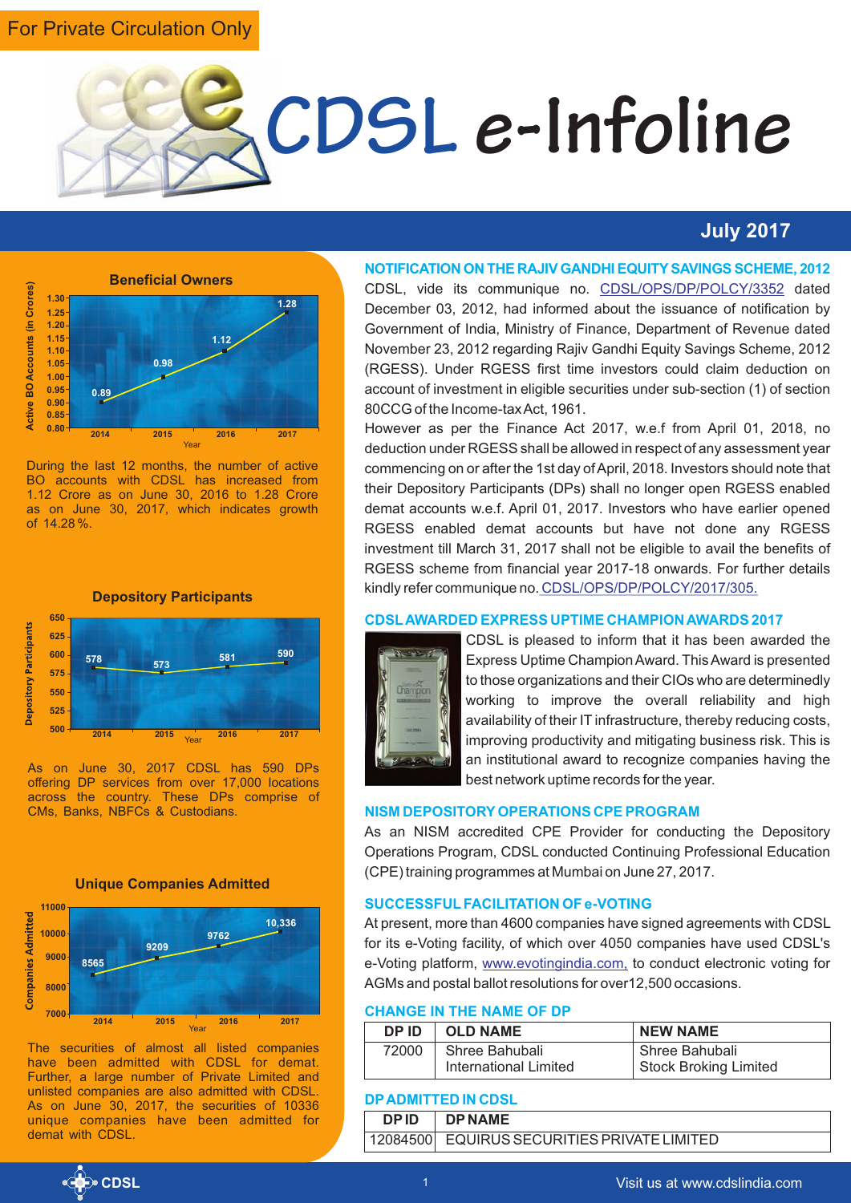### For Private Circulation Only



#### **July 2017**



During the last 12 months, the number of active BO accounts with CDSL has increased from 1.12 Crore as on June 30, 2016 to 1.28 Crore as on June 30, 2017, which indicates growth of 14.28 %.



As on June 30, 2017 CDSL has 590 DPs offering DP services from over 17,000 locations across the country. These DPs comprise of CMs, Banks, NBFCs & Custodians.



The securities of almost all listed companies have been admitted with CDSL for demat. Further, a large number of Private Limited and unlisted companies are also admitted with CDSL. As on June 30, 2017, the securities of 10336 unique companies have been admitted for demat with CDSL

#### **NOTIFICATION ON THE RAJIV GANDHI EQUITYSAVINGS SCHEME, 2012**

CDSL, vide its communique no. CDSL/OPS/DP/POLCY/3352 dated December 03, 2012, had informed about the issuance of notification by Government of India, Ministry of Finance, Department of Revenue dated November 23, 2012 regarding Rajiv Gandhi Equity Savings Scheme, 2012 (RGESS). Under RGESS first time investors could claim deduction on account of investment in eligible securities under sub-section (1) of section 80CCG of the Income-tax Act, 1961.

However as per the Finance Act 2017, w.e.f from April 01, 2018, no deduction under RGESS shall be allowed in respect of any assessment year commencing on or after the 1st day of April, 2018. Investors should note that their Depository Participants (DPs) shall no longer open RGESS enabled demat accounts w.e.f. April 01, 2017. Investors who have earlier opened RGESS enabled demat accounts but have not done any RGESS investment till March 31, 2017 shall not be eligible to avail the benefits of RGESS scheme from financial year 2017-18 onwards. For further details kindly refer communique no. [CDSL/OPS/DP/POLCY/2017/305.](https://www.cdslindia.com/publications/commprocedure.aspx?eventid=DP2017-305)

#### **CDSLAWARDED EXPRESS UPTIME CHAMPION AWARDS 2017**



CDSL is pleased to inform that it has been awarded the Express Uptime Champion Award. This Award is presented to those organizations and their CIOs who are determinedly working to improve the overall reliability and high availability of their IT infrastructure, thereby reducing costs, improving productivity and mitigating business risk. This is an institutional award to recognize companies having the best network uptime records for the year.

#### **NISM DEPOSITORYOPERATIONS CPE PROGRAM**

As an NISM accredited CPE Provider for conducting the Depository Operations Program, CDSL conducted Continuing Professional Education (CPE) training programmes at Mumbai on June 27, 2017.

#### **SUCCESSFULFACILITATION OF e-VOTING**

At present, more than 4600 companies have signed agreements with CDSL for its e-Voting facility, of which over 4050 companies have used CDSL's e-Voting platform, www.evotingindia.com, to conduct electronic voting for AGMs and postal ballot resolutions for over12,500 occasions.

#### **CHANGE IN THE NAME OF DP**

| DP ID | <b>OLD NAME</b>       | <b>NEW NAME</b>              |
|-------|-----------------------|------------------------------|
| 72000 | Shree Bahubali        | Shree Bahubali               |
|       | International Limited | <b>Stock Broking Limited</b> |

#### **DPADMITTED IN CDSL**

| <b>DPID</b> | I DPNAME                                    |
|-------------|---------------------------------------------|
|             | 12084500 EQUIRUS SECURITIES PRIVATE LIMITED |

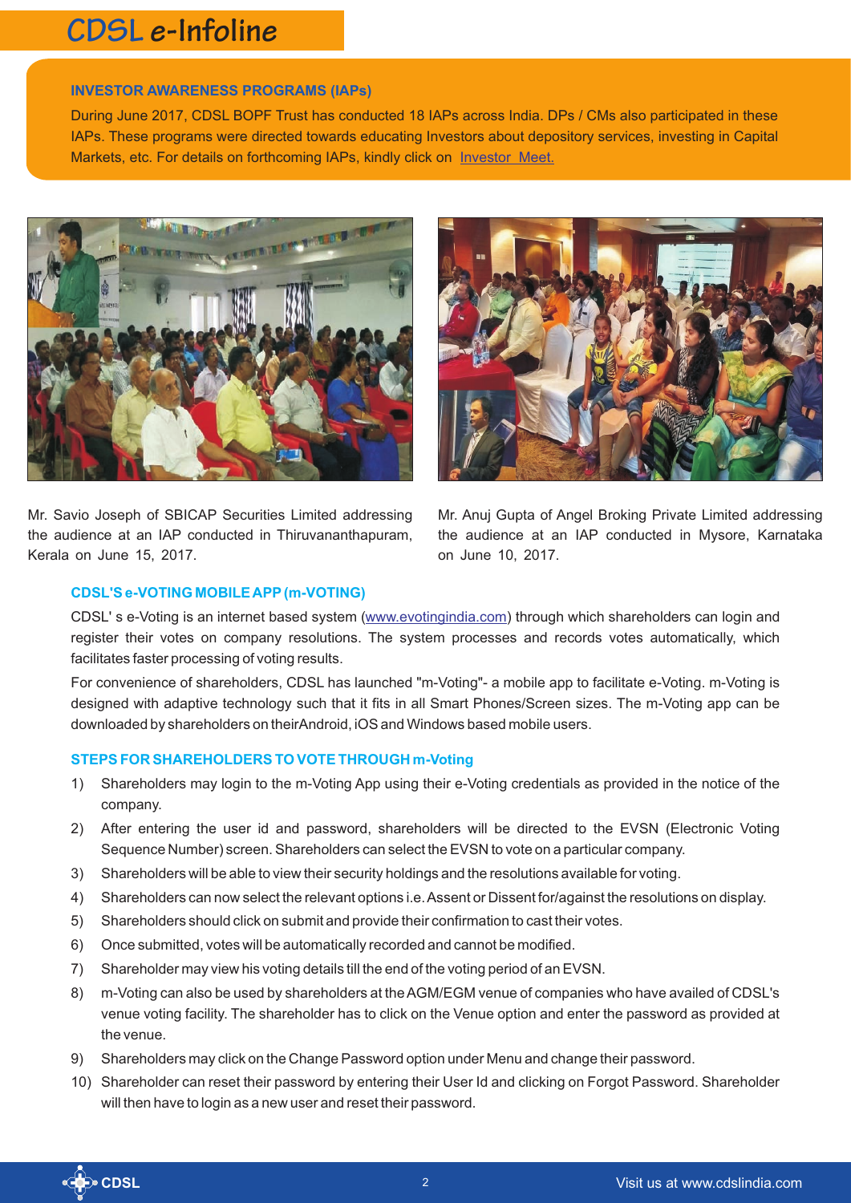## **CDSL e-Infoline**

#### **INVESTOR AWARENESS PROGRAMS (IAPs)**

During June 2017, CDSL BOPF Trust has conducted 18 IAPs across India. DPs / CMs also participated in these IAPs. These programs were directed towards educating Investors about depository services, investing in Capital Markets, etc. For details on forthcoming IAPs, kindly click on [Investor Meet.](https://www.cdslindia.com/investors/investor-meet.aspx)



Mr. Savio Joseph of SBICAP Securities Limited addressing the audience at an IAP conducted in Thiruvananthapuram, Kerala on June 15, 2017.



Mr. Anuj Gupta of Angel Broking Private Limited addressing the audience at an IAP conducted in Mysore, Karnataka on June 10, 2017.

#### **CDSL'S e-VOTING MOBILE APP(m-VOTING)**

CDSL' s e-Voting is an internet based system (<www.evotingindia.com>) through which shareholders can login and register their votes on company resolutions. The system processes and records votes automatically, which facilitates faster processing of voting results.

For convenience of shareholders, CDSL has launched "m-Voting"- a mobile app to facilitate e-Voting. m-Voting is designed with adaptive technology such that it fits in all Smart Phones/Screen sizes. The m-Voting app can be downloaded by shareholders on theirAndroid, iOS and Windows based mobile users.

#### **STEPS FOR SHAREHOLDERS TO VOTE THROUGH m-Voting**

- 1) Shareholders may login to the m-Voting App using their e-Voting credentials as provided in the notice of the company.
- 2) After entering the user id and password, shareholders will be directed to the EVSN (Electronic Voting Sequence Number) screen. Shareholders can select the EVSN to vote on a particular company.
- 3) Shareholders will be able to view their security holdings and the resolutions available for voting.
- 4) Shareholders can now select the relevant options i.e. Assent or Dissent for/against the resolutions on display.
- 5) Shareholders should click on submit and provide their confirmation to cast their votes.
- 6) Once submitted, votes will be automatically recorded and cannot be modified.
- 7) Shareholder may view his voting details till the end of the voting period of an EVSN.
- 8) m-Voting can also be used by shareholders at the AGM/EGM venue of companies who have availed of CDSL's venue voting facility. The shareholder has to click on the Venue option and enter the password as provided at the venue.
- 9) Shareholders may click on the Change Password option under Menu and change their password.
- 10) Shareholder can reset their password by entering their User Id and clicking on Forgot Password. Shareholder will then have to login as a new user and reset their password.

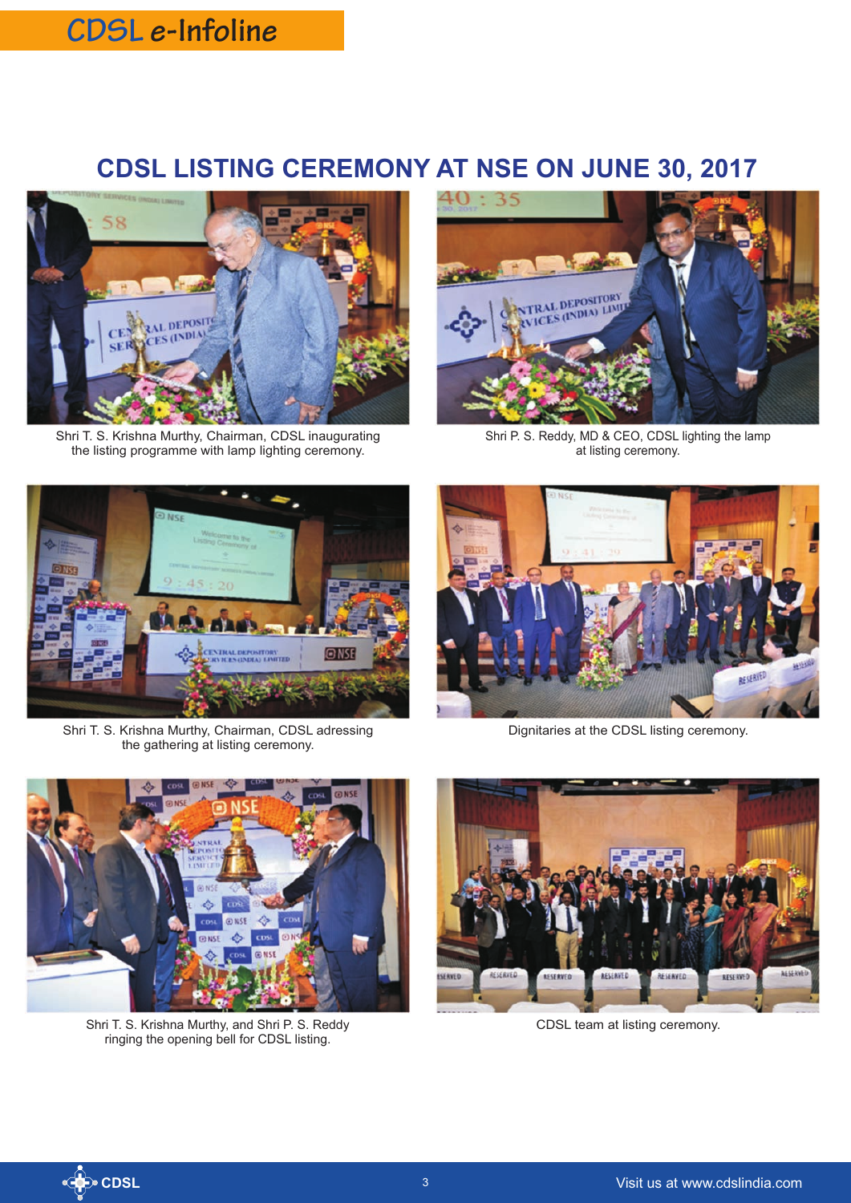### **CDSL e-Infoline**

### **CDSL LISTING CEREMONY AT NSE ON JUNE 30, 2017**



Shri T. S. Krishna Murthy, Chairman, CDSL inaugurating the listing programme with lamp lighting ceremony.



Shri P. S. Reddy, MD & CEO, CDSL lighting the lamp at listing ceremony.



Shri T. S. Krishna Murthy, Chairman, CDSL adressing the gathering at listing ceremony.



Shri T. S. Krishna Murthy, and Shri P. S. Reddy ringing the opening bell for CDSL listing.



Dignitaries at the CDSL listing ceremony.



CDSL team at listing ceremony.